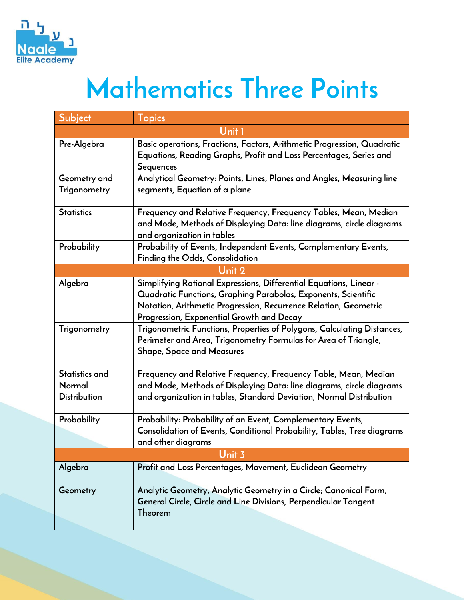

## **Mathematics Three Points**

| Subject                       | <b>Topics</b>                                                                                                                                                                                                                                         |
|-------------------------------|-------------------------------------------------------------------------------------------------------------------------------------------------------------------------------------------------------------------------------------------------------|
|                               | Unit 1                                                                                                                                                                                                                                                |
| Pre-Algebra                   | Basic operations, Fractions, Factors, Arithmetic Progression, Quadratic<br>Equations, Reading Graphs, Profit and Loss Percentages, Series and<br>Sequences                                                                                            |
| Geometry and                  | Analytical Geometry: Points, Lines, Planes and Angles, Measuring line                                                                                                                                                                                 |
| Trigonometry                  | segments, Equation of a plane                                                                                                                                                                                                                         |
| <b>Statistics</b>             | Frequency and Relative Frequency, Frequency Tables, Mean, Median<br>and Mode, Methods of Displaying Data: line diagrams, circle diagrams<br>and organization in tables                                                                                |
| Probability                   | Probability of Events, Independent Events, Complementary Events,<br>Finding the Odds, Consolidation                                                                                                                                                   |
|                               | Unit 2                                                                                                                                                                                                                                                |
| Algebra                       | Simplifying Rational Expressions, Differential Equations, Linear -<br>Quadratic Functions, Graphing Parabolas, Exponents, Scientific<br>Notation, Arithmetic Progression, Recurrence Relation, Geometric<br>Progression, Exponential Growth and Decay |
| Trigonometry                  | Trigonometric Functions, Properties of Polygons, Calculating Distances,<br>Perimeter and Area, Trigonometry Formulas for Area of Triangle,<br><b>Shape, Space and Measures</b>                                                                        |
| Statistics and                | Frequency and Relative Frequency, Frequency Table, Mean, Median                                                                                                                                                                                       |
| Normal<br><b>Distribution</b> | and Mode, Methods of Displaying Data: line diagrams, circle diagrams<br>and organization in tables, Standard Deviation, Normal Distribution                                                                                                           |
| Probability                   | Probability: Probability of an Event, Complementary Events,                                                                                                                                                                                           |
|                               | Consolidation of Events, Conditional Probability, Tables, Tree diagrams                                                                                                                                                                               |
|                               | and other diagrams                                                                                                                                                                                                                                    |
|                               | Unit 3                                                                                                                                                                                                                                                |
| Algebra                       | Profit and Loss Percentages, Movement, Euclidean Geometry                                                                                                                                                                                             |
| Geometry                      | Analytic Geometry, Analytic Geometry in a Circle; Canonical Form,<br>General Circle, Circle and Line Divisions, Perpendicular Tangent<br>Theorem                                                                                                      |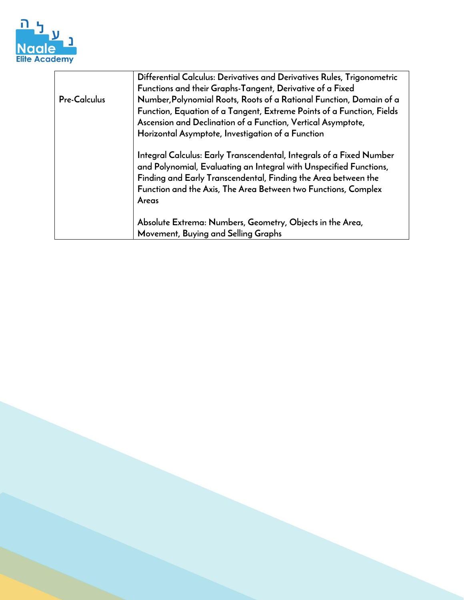

|              | Differential Calculus: Derivatives and Derivatives Rules, Trigonometric                                                                    |
|--------------|--------------------------------------------------------------------------------------------------------------------------------------------|
|              | Functions and their Graphs-Tangent, Derivative of a Fixed                                                                                  |
| Pre-Calculus | Number, Polynomial Roots, Roots of a Rational Function, Domain of a                                                                        |
|              | Function, Equation of a Tangent, Extreme Points of a Function, Fields                                                                      |
|              | Ascension and Declination of a Function, Vertical Asymptote,                                                                               |
|              | Horizontal Asymptote, Investigation of a Function                                                                                          |
|              | Integral Calculus: Early Transcendental, Integrals of a Fixed Number<br>and Polynomial, Evaluating an Integral with Unspecified Functions, |
|              | Finding and Early Transcendental, Finding the Area between the                                                                             |
|              | Function and the Axis, The Area Between two Functions, Complex                                                                             |
|              | Areas                                                                                                                                      |
|              | Absolute Extrema: Numbers, Geometry, Objects in the Area,                                                                                  |
|              | Movement, Buying and Selling Graphs                                                                                                        |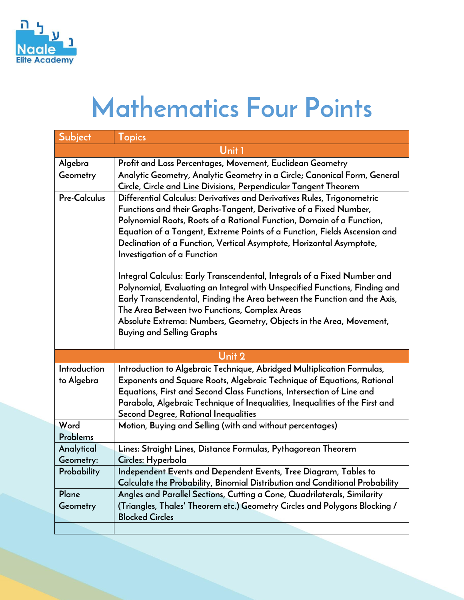

## **Mathematics Four Points**

| Subject                    | <b>Topics</b>                                                                                                                                                                                                                                                                                                                                                                                                                                                                                                                                                                                                                                                                                                                                                            |  |
|----------------------------|--------------------------------------------------------------------------------------------------------------------------------------------------------------------------------------------------------------------------------------------------------------------------------------------------------------------------------------------------------------------------------------------------------------------------------------------------------------------------------------------------------------------------------------------------------------------------------------------------------------------------------------------------------------------------------------------------------------------------------------------------------------------------|--|
| Unit1                      |                                                                                                                                                                                                                                                                                                                                                                                                                                                                                                                                                                                                                                                                                                                                                                          |  |
| Algebra                    | Profit and Loss Percentages, Movement, Euclidean Geometry                                                                                                                                                                                                                                                                                                                                                                                                                                                                                                                                                                                                                                                                                                                |  |
| Geometry                   | Analytic Geometry, Analytic Geometry in a Circle; Canonical Form, General<br>Circle, Circle and Line Divisions, Perpendicular Tangent Theorem                                                                                                                                                                                                                                                                                                                                                                                                                                                                                                                                                                                                                            |  |
| <b>Pre-Calculus</b>        | Differential Calculus: Derivatives and Derivatives Rules, Trigonometric<br>Functions and their Graphs-Tangent, Derivative of a Fixed Number,<br>Polynomial Roots, Roots of a Rational Function, Domain of a Function,<br>Equation of a Tangent, Extreme Points of a Function, Fields Ascension and<br>Declination of a Function, Vertical Asymptote, Horizontal Asymptote,<br>Investigation of a Function<br>Integral Calculus: Early Transcendental, Integrals of a Fixed Number and<br>Polynomial, Evaluating an Integral with Unspecified Functions, Finding and<br>Early Transcendental, Finding the Area between the Function and the Axis,<br>The Area Between two Functions, Complex Areas<br>Absolute Extrema: Numbers, Geometry, Objects in the Area, Movement, |  |
|                            | <b>Buying and Selling Graphs</b>                                                                                                                                                                                                                                                                                                                                                                                                                                                                                                                                                                                                                                                                                                                                         |  |
|                            | Unit 2                                                                                                                                                                                                                                                                                                                                                                                                                                                                                                                                                                                                                                                                                                                                                                   |  |
| Introduction<br>to Algebra | Introduction to Algebraic Technique, Abridged Multiplication Formulas,<br>Exponents and Square Roots, Algebraic Technique of Equations, Rational<br>Equations, First and Second Class Functions, Intersection of Line and<br>Parabola, Algebraic Technique of Inequalities, Inequalities of the First and<br>Second Degree, Rational Inequalities                                                                                                                                                                                                                                                                                                                                                                                                                        |  |
| Word                       | Motion, Buying and Selling (with and without percentages)                                                                                                                                                                                                                                                                                                                                                                                                                                                                                                                                                                                                                                                                                                                |  |
| Problems                   |                                                                                                                                                                                                                                                                                                                                                                                                                                                                                                                                                                                                                                                                                                                                                                          |  |
| Analytical                 | Lines: Straight Lines, Distance Formulas, Pythagorean Theorem                                                                                                                                                                                                                                                                                                                                                                                                                                                                                                                                                                                                                                                                                                            |  |
| Geometry:                  | Circles: Hyperbola                                                                                                                                                                                                                                                                                                                                                                                                                                                                                                                                                                                                                                                                                                                                                       |  |
| Probability                | Independent Events and Dependent Events, Tree Diagram, Tables to<br>Calculate the Probability, Binomial Distribution and Conditional Probability                                                                                                                                                                                                                                                                                                                                                                                                                                                                                                                                                                                                                         |  |
| Plane<br>Geometry          | Angles and Parallel Sections, Cutting a Cone, Quadrilaterals, Similarity<br>(Triangles, Thales' Theorem etc.) Geometry Circles and Polygons Blocking /<br><b>Blocked Circles</b>                                                                                                                                                                                                                                                                                                                                                                                                                                                                                                                                                                                         |  |
|                            |                                                                                                                                                                                                                                                                                                                                                                                                                                                                                                                                                                                                                                                                                                                                                                          |  |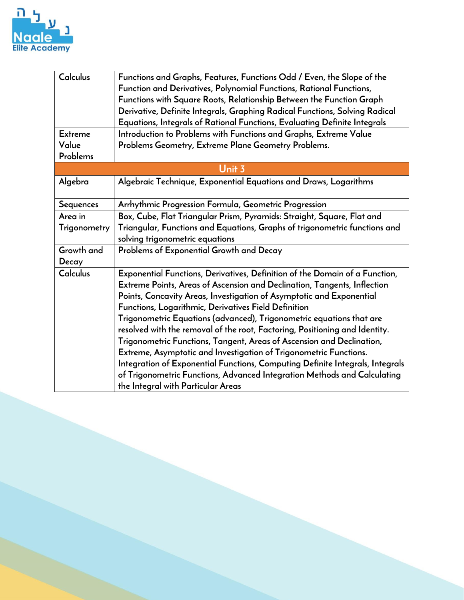

| Calculus            | Functions and Graphs, Features, Functions Odd / Even, the Slope of the<br>Function and Derivatives, Polynomial Functions, Rational Functions,<br>Functions with Square Roots, Relationship Between the Function Graph<br>Derivative, Definite Integrals, Graphing Radical Functions, Solving Radical                                                                                                                                                                                                                                                                                                                                                                                                                                                                                            |  |
|---------------------|-------------------------------------------------------------------------------------------------------------------------------------------------------------------------------------------------------------------------------------------------------------------------------------------------------------------------------------------------------------------------------------------------------------------------------------------------------------------------------------------------------------------------------------------------------------------------------------------------------------------------------------------------------------------------------------------------------------------------------------------------------------------------------------------------|--|
|                     | Equations, Integrals of Rational Functions, Evaluating Definite Integrals                                                                                                                                                                                                                                                                                                                                                                                                                                                                                                                                                                                                                                                                                                                       |  |
| <b>Extreme</b>      | Introduction to Problems with Functions and Graphs, Extreme Value                                                                                                                                                                                                                                                                                                                                                                                                                                                                                                                                                                                                                                                                                                                               |  |
| Value<br>Problems   | Problems Geometry, Extreme Plane Geometry Problems.                                                                                                                                                                                                                                                                                                                                                                                                                                                                                                                                                                                                                                                                                                                                             |  |
| Unit 3              |                                                                                                                                                                                                                                                                                                                                                                                                                                                                                                                                                                                                                                                                                                                                                                                                 |  |
| Algebra             | Algebraic Technique, Exponential Equations and Draws, Logarithms                                                                                                                                                                                                                                                                                                                                                                                                                                                                                                                                                                                                                                                                                                                                |  |
| Sequences           | Arrhythmic Progression Formula, Geometric Progression                                                                                                                                                                                                                                                                                                                                                                                                                                                                                                                                                                                                                                                                                                                                           |  |
| Area in             | Box, Cube, Flat Triangular Prism, Pyramids: Straight, Square, Flat and                                                                                                                                                                                                                                                                                                                                                                                                                                                                                                                                                                                                                                                                                                                          |  |
| Trigonometry        | Triangular, Functions and Equations, Graphs of trigonometric functions and<br>solving trigonometric equations                                                                                                                                                                                                                                                                                                                                                                                                                                                                                                                                                                                                                                                                                   |  |
| Growth and<br>Decay | Problems of Exponential Growth and Decay                                                                                                                                                                                                                                                                                                                                                                                                                                                                                                                                                                                                                                                                                                                                                        |  |
| Calculus            | Exponential Functions, Derivatives, Definition of the Domain of a Function,<br>Extreme Points, Areas of Ascension and Declination, Tangents, Inflection<br>Points, Concavity Areas, Investigation of Asymptotic and Exponential<br>Functions, Logarithmic, Derivatives Field Definition<br>Trigonometric Equations (advanced), Trigonometric equations that are<br>resolved with the removal of the root, Factoring, Positioning and Identity.<br>Trigonometric Functions, Tangent, Areas of Ascension and Declination,<br>Extreme, Asymptotic and Investigation of Trigonometric Functions.<br>Integration of Exponential Functions, Computing Definite Integrals, Integrals<br>of Trigonometric Functions, Advanced Integration Methods and Calculating<br>the Integral with Particular Areas |  |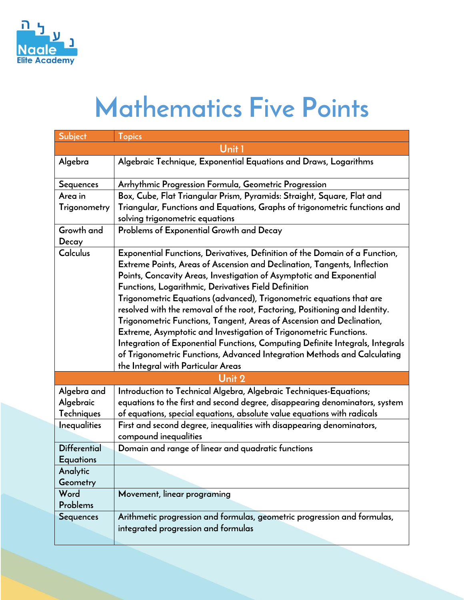

## **Mathematics Five Points**

| Subject                                 | <b>Topics</b>                                                                                                                                                                                                                                                                                                                                                                                                                                                                                                                                                                                                                                                                                                                                                                                   |
|-----------------------------------------|-------------------------------------------------------------------------------------------------------------------------------------------------------------------------------------------------------------------------------------------------------------------------------------------------------------------------------------------------------------------------------------------------------------------------------------------------------------------------------------------------------------------------------------------------------------------------------------------------------------------------------------------------------------------------------------------------------------------------------------------------------------------------------------------------|
|                                         | Unit 1                                                                                                                                                                                                                                                                                                                                                                                                                                                                                                                                                                                                                                                                                                                                                                                          |
| Algebra                                 | Algebraic Technique, Exponential Equations and Draws, Logarithms                                                                                                                                                                                                                                                                                                                                                                                                                                                                                                                                                                                                                                                                                                                                |
| <b>Sequences</b>                        | Arrhythmic Progression Formula, Geometric Progression                                                                                                                                                                                                                                                                                                                                                                                                                                                                                                                                                                                                                                                                                                                                           |
| Area in                                 | Box, Cube, Flat Triangular Prism, Pyramids: Straight, Square, Flat and                                                                                                                                                                                                                                                                                                                                                                                                                                                                                                                                                                                                                                                                                                                          |
| Trigonometry                            | Triangular, Functions and Equations, Graphs of trigonometric functions and<br>solving trigonometric equations                                                                                                                                                                                                                                                                                                                                                                                                                                                                                                                                                                                                                                                                                   |
| Growth and<br>Decay                     | Problems of Exponential Growth and Decay                                                                                                                                                                                                                                                                                                                                                                                                                                                                                                                                                                                                                                                                                                                                                        |
| Calculus                                | Exponential Functions, Derivatives, Definition of the Domain of a Function,<br>Extreme Points, Areas of Ascension and Declination, Tangents, Inflection<br>Points, Concavity Areas, Investigation of Asymptotic and Exponential<br>Functions, Logarithmic, Derivatives Field Definition<br>Trigonometric Equations (advanced), Trigonometric equations that are<br>resolved with the removal of the root, Factoring, Positioning and Identity.<br>Trigonometric Functions, Tangent, Areas of Ascension and Declination,<br>Extreme, Asymptotic and Investigation of Trigonometric Functions.<br>Integration of Exponential Functions, Computing Definite Integrals, Integrals<br>of Trigonometric Functions, Advanced Integration Methods and Calculating<br>the Integral with Particular Areas |
|                                         | Unit 2                                                                                                                                                                                                                                                                                                                                                                                                                                                                                                                                                                                                                                                                                                                                                                                          |
| Algebra and<br>Algebraic<br>Techniques  | Introduction to Technical Algebra, Algebraic Techniques-Equations;<br>equations to the first and second degree, disappearing denominators, system<br>of equations, special equations, absolute value equations with radicals                                                                                                                                                                                                                                                                                                                                                                                                                                                                                                                                                                    |
| Inequalities                            | First and second degree, inequalities with disappearing denominators,<br>compound inequalities                                                                                                                                                                                                                                                                                                                                                                                                                                                                                                                                                                                                                                                                                                  |
| <b>Differential</b><br><b>Equations</b> | Domain and range of linear and quadratic functions                                                                                                                                                                                                                                                                                                                                                                                                                                                                                                                                                                                                                                                                                                                                              |
| Analytic<br>Geometry                    |                                                                                                                                                                                                                                                                                                                                                                                                                                                                                                                                                                                                                                                                                                                                                                                                 |
| Word<br>Problems                        | Movement, linear programing                                                                                                                                                                                                                                                                                                                                                                                                                                                                                                                                                                                                                                                                                                                                                                     |
| <b>Sequences</b>                        | Arithmetic progression and formulas, geometric progression and formulas,<br>integrated progression and formulas                                                                                                                                                                                                                                                                                                                                                                                                                                                                                                                                                                                                                                                                                 |